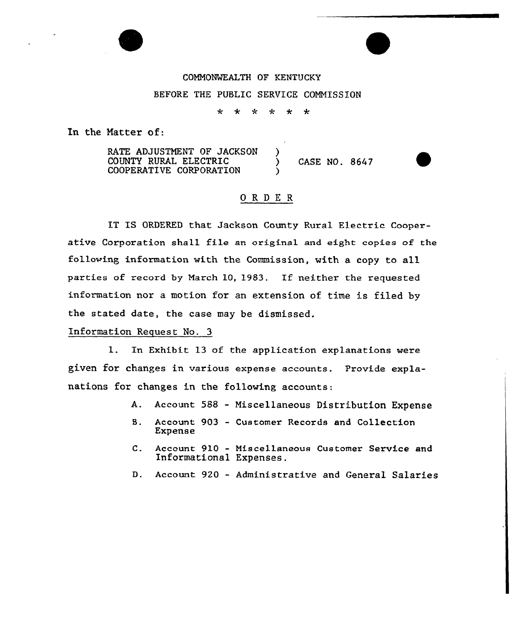## COMMONWEALTH OF KENTUCKY BEFORE THE PUBLIC SERVICE COMMISSION

\* \* \* \* \* \*

In the Matter of:

RATE ADJUSTMENT OF JACKSON )<br>COUNTY RURAL ELECTRIC COUNTY RURAL ELECTRIC (CASE NO. 8647 COOPERATIVE CORPORATION

## ORDE <sup>R</sup>

IT IS ORDERED that Jackson County Rural Electric Cooperative Corporation shall file an original and eight copies of the following information with the Commission, with a copy to all parties of record by March 10, 1983. If neither the requested information nor a motion for an extension of time is filed by the stated date, the case may be dismissed.

## Information Request No. 3

1. In Exhibit 13 of the application explanations were given for changes in various expense accounts. Provide explanations for changes in the following accounts:

- A. Account 588 Niscellaneous Distribution Expense
- B. Account 903 Customer Records and Collection Expense
- C. Account 910 Misce11aneous Customer Service and Informational Expenses.
- D. Account 920 Administrative and General Salaries